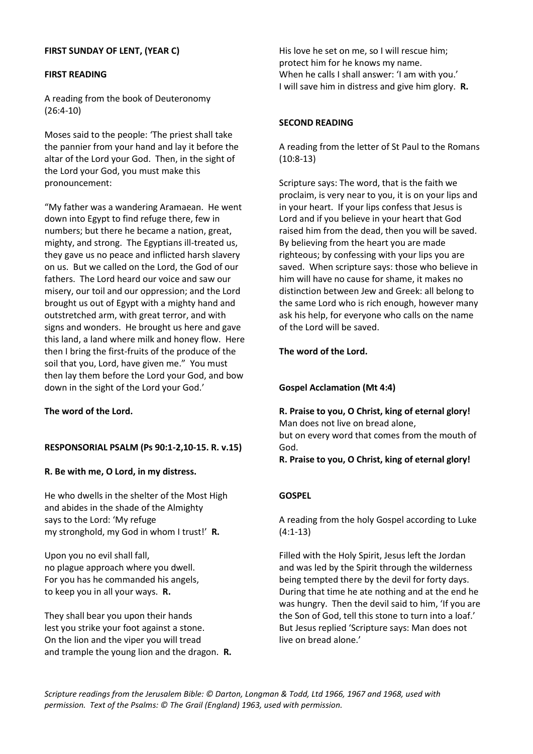# **FIRST SUNDAY OF LENT, (YEAR C)**

#### **FIRST READING**

A reading from the book of Deuteronomy (26:4-10)

Moses said to the people: 'The priest shall take the pannier from your hand and lay it before the altar of the Lord your God. Then, in the sight of the Lord your God, you must make this pronouncement:

"My father was a wandering Aramaean. He went down into Egypt to find refuge there, few in numbers; but there he became a nation, great, mighty, and strong. The Egyptians ill-treated us, they gave us no peace and inflicted harsh slavery on us. But we called on the Lord, the God of our fathers. The Lord heard our voice and saw our misery, our toil and our oppression; and the Lord brought us out of Egypt with a mighty hand and outstretched arm, with great terror, and with signs and wonders. He brought us here and gave this land, a land where milk and honey flow. Here then I bring the first-fruits of the produce of the soil that you, Lord, have given me." You must then lay them before the Lord your God, and bow down in the sight of the Lord your God.'

**The word of the Lord.**

## **RESPONSORIAL PSALM (Ps 90:1-2,10-15. R. v.15)**

**R. Be with me, O Lord, in my distress.**

He who dwells in the shelter of the Most High and abides in the shade of the Almighty says to the Lord: 'My refuge my stronghold, my God in whom I trust!' **R.**

Upon you no evil shall fall, no plague approach where you dwell. For you has he commanded his angels, to keep you in all your ways. **R.**

They shall bear you upon their hands lest you strike your foot against a stone. On the lion and the viper you will tread and trample the young lion and the dragon. **R.** His love he set on me, so I will rescue him; protect him for he knows my name. When he calls I shall answer: 'I am with you.' I will save him in distress and give him glory. **R.**

# **SECOND READING**

A reading from the letter of St Paul to the Romans (10:8-13)

Scripture says: The word, that is the faith we proclaim, is very near to you, it is on your lips and in your heart. If your lips confess that Jesus is Lord and if you believe in your heart that God raised him from the dead, then you will be saved. By believing from the heart you are made righteous; by confessing with your lips you are saved. When scripture says: those who believe in him will have no cause for shame, it makes no distinction between Jew and Greek: all belong to the same Lord who is rich enough, however many ask his help, for everyone who calls on the name of the Lord will be saved.

## **The word of the Lord.**

## **Gospel Acclamation (Mt 4:4)**

**R. Praise to you, O Christ, king of eternal glory!** Man does not live on bread alone, but on every word that comes from the mouth of

God.

#### **R. Praise to you, O Christ, king of eternal glory!**

## **GOSPEL**

A reading from the holy Gospel according to Luke (4:1-13)

Filled with the Holy Spirit, Jesus left the Jordan and was led by the Spirit through the wilderness being tempted there by the devil for forty days. During that time he ate nothing and at the end he was hungry. Then the devil said to him, 'If you are the Son of God, tell this stone to turn into a loaf.' But Jesus replied 'Scripture says: Man does not live on bread alone.'

*Scripture readings from the Jerusalem Bible: © Darton, Longman & Todd, Ltd 1966, 1967 and 1968, used with permission. Text of the Psalms: © The Grail (England) 1963, used with permission.*